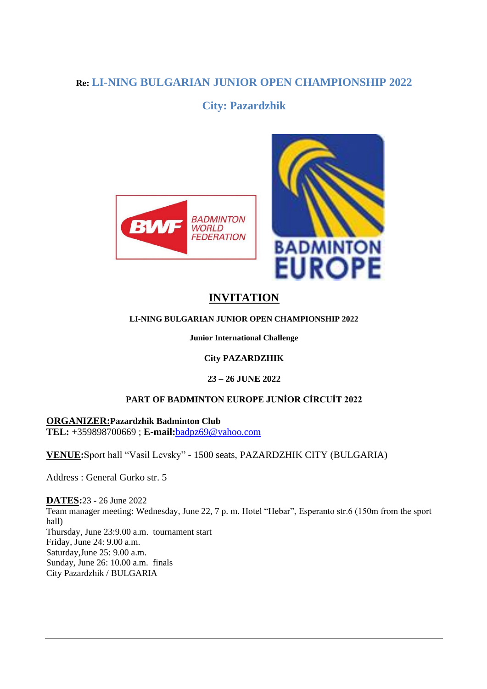# **Re: LI-NING BULGARIAN JUNIOR OPEN CHAMPIONSHIP 2022**

# **City: Pazardzhik**





# **INVITATION**

#### **LI-NING BULGARIAN JUNIOR OPEN CHAMPIONSHIP 2022**

**Junior International Challenge**

#### **City PAZARDZHIK**

#### **23 – 26 JUNE 2022**

#### **PART OF BADMINTON EUROPE JUNİOR CİRCUİT 2022**

**ORGANIZER:Pazardzhik Badminton Club TEL:** +359898700669 ; **E-mail:**[badpz69@yahoo.com](mailto:badpz69@yahoo.com)

**VENUE:**Sport hall "Vasil Levsky" - 1500 seats, PAZARDZHIK CITY (BULGARIA)

Address : General Gurko str. 5

**DATES:**23 - 26 June 2022 Team manager meeting: Wednesday, June 22, 7 p. m. Hotel "Hebar", Esperanto str.6 (150m from the sport hall) Thursday, June 23:9.00 a.m. tournament start Friday, June 24: 9.00 a.m. Saturday,June 25: 9.00 a.m. Sunday, June 26: 10.00 a.m. finals City Pazardzhik / BULGARIA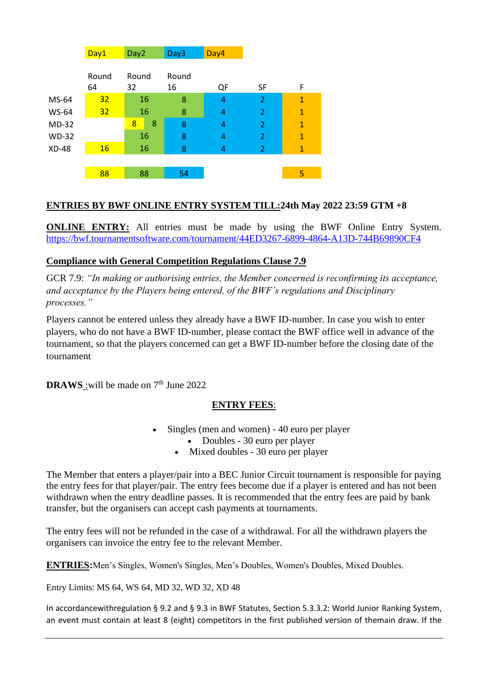|              | Day1            | Day <sub>2</sub> | Day3        | Day4 |                |                |
|--------------|-----------------|------------------|-------------|------|----------------|----------------|
|              | Round<br>64     | Round<br>32      | Round<br>16 | QF   | <b>SF</b>      | F              |
| MS-64        | 32 <sub>2</sub> | 16               | 8           | 4    | $\overline{2}$ | $\mathbf{1}$   |
| <b>WS-64</b> | 32 <sub>2</sub> | 16               | 8           | 4    | $\overline{2}$ | $\mathbf{1}$   |
| $MD-32$      |                 | 8<br>8           | 8           | 4    | $\overline{2}$ | $\mathbf{1}$   |
| <b>WD-32</b> |                 | 16               | 8           | 4    | $\overline{2}$ | $\overline{1}$ |
| <b>XD-48</b> | <b>16</b>       | 16               | 8           | 4    | $\overline{2}$ | $\mathbf{1}$   |
|              |                 |                  |             |      |                |                |
|              | 88              | 88               | 54          |      |                | 5              |

#### **ENTRIES BY BWF ONLINE ENTRY SYSTEM TILL:24th May 2022 23:59 GTM +8**

**ONLINE ENTRY:** All entries must be made by using the BWF Online Entry System. <https://bwf.tournamentsoftware.com/tournament/44ED3267-6899-4864-A13D-744B69890CF4>

#### **Compliance with General Competition Regulations Clause 7.9**

GCR 7.9: *"In making or authorising entries, the Member concerned is reconfirming its acceptance, and acceptance by the Players being entered, of the BWF's regulations and Disciplinary processes."*

Players cannot be entered unless they already have a BWF ID-number. In case you wish to enter players, who do not have a BWF ID-number, please contact the BWF office well in advance of the tournament, so that the players concerned can get a BWF ID-number before the closing date of the tournament

**DRAWS** : will be made on 7<sup>th</sup> June 2022

#### **ENTRY FEES**:

- Singles (men and women) 40 euro per player
	- Doubles 30 euro per player
	- Mixed doubles 30 euro per player

The Member that enters a player/pair into a BEC Junior Circuit tournament is responsible for paying the entry fees for that player/pair. The entry fees become due if a player is entered and has not been withdrawn when the entry deadline passes. It is recommended that the entry fees are paid by bank transfer, but the organisers can accept cash payments at tournaments.

The entry fees will not be refunded in the case of a withdrawal. For all the withdrawn players the organisers can invoice the entry fee to the relevant Member.

**ENTRIES:**Men's Singles, Women's Singles, Men's Doubles, Women's Doubles, Mixed Doubles.

Entry Limits: MS 64, WS 64, MD 32, WD 32, XD 48

In accordancewithregulation § 9.2 and § 9.3 in BWF Statutes, Section 5.3.3.2: World Junior Ranking System, an event must contain at least 8 (eight) competitors in the first published version of themain draw. If the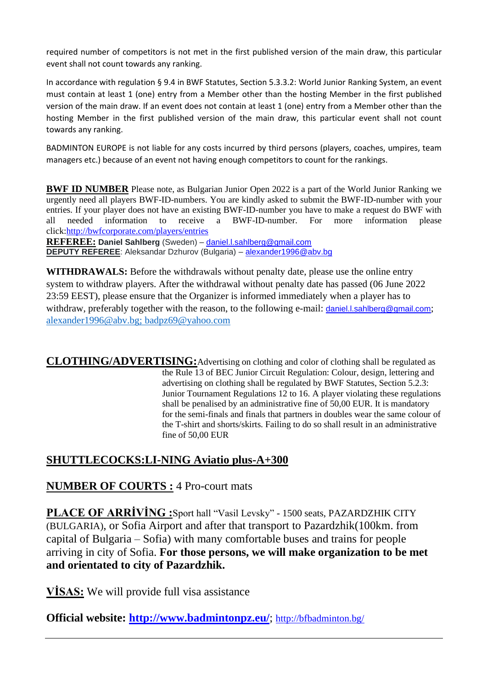required number of competitors is not met in the first published version of the main draw, this particular event shall not count towards any ranking.

In accordance with regulation § 9.4 in BWF Statutes, Section 5.3.3.2: World Junior Ranking System, an event must contain at least 1 (one) entry from a Member other than the hosting Member in the first published version of the main draw. If an event does not contain at least 1 (one) entry from a Member other than the hosting Member in the first published version of the main draw, this particular event shall not count towards any ranking.

BADMINTON EUROPE is not liable for any costs incurred by third persons (players, coaches, umpires, team managers etc.) because of an event not having enough competitors to count for the rankings.

**BWF ID NUMBER** Please note, as Bulgarian Junior Open 2022 is a part of the World Junior Ranking we urgently need all players BWF-ID-numbers. You are kindly asked to submit the BWF-ID-number with your entries. If your player does not have an existing BWF-ID-number you have to make a request do BWF with all needed information to receive a BWF-ID-number. For more information please click[:http://bwfcorporate.com/players/entries](http://bwfcorporate.com/players/entries)

**REFEREE: Daniel Sahlberg** (Sweden) – [daniel.l.sahlberg@gmail.com](mailto:daniel.l.sahlberg@gmail.com) **DEPUTY REFEREE:** Aleksandar Dzhurov (Bulgaria) – [alexander1996@abv.bg](mailto:alexander1996@abv.bg)

**WITHDRAWALS:** Before the withdrawals without penalty date, please use the online entry system to withdraw players. After the withdrawal without penalty date has passed (06 June 2022 23:59 EEST), please ensure that the Organizer is informed immediately when a player has to withdraw, preferably together with the reason, to the following e-mail: [daniel.l.sahlberg@gmail.com](mailto:daniel.l.sahlberg@gmail.com); [alexander1996@abv.bg;](mailto:alexander1996@abv.bg) badpz69@yahoo.com

**CLOTHING/ADVERTISING:**Advertising on clothing and color of clothing shall be regulated as the Rule 13 of BEC Junior Circuit Regulation: Colour, design, lettering and advertising on clothing shall be regulated by BWF Statutes, Section 5.2.3: Junior Tournament Regulations 12 to 16. A player violating these regulations shall be penalised by an administrative fine of 50,00 EUR. It is mandatory for the semi-finals and finals that partners in doubles wear the same colour of the T-shirt and shorts/skirts. Failing to do so shall result in an administrative fine of 50,00 EUR

# **SHUTTLECOCKS:LI-NING Aviatio plus-A+300**

### **NUMBER OF COURTS :** 4 Pro-court mats

**PLACE OF ARRİVİNG :**Sport hall "Vasil Levsky" - 1500 seats, PAZARDZHIK CITY (BULGARIA), or Sofia Airport and after that transport to Pazardzhik(100km. from capital of Bulgaria – Sofia) with many comfortable buses and trains for people arriving in city of Sofia. **For those persons, we will make organization to be met and orientated to city of Pazardzhik.**

**VİSAS:** We will provide full visa assistance

**Official website:<http://www.badmintonpz.eu/>**; <http://bfbadminton.bg/>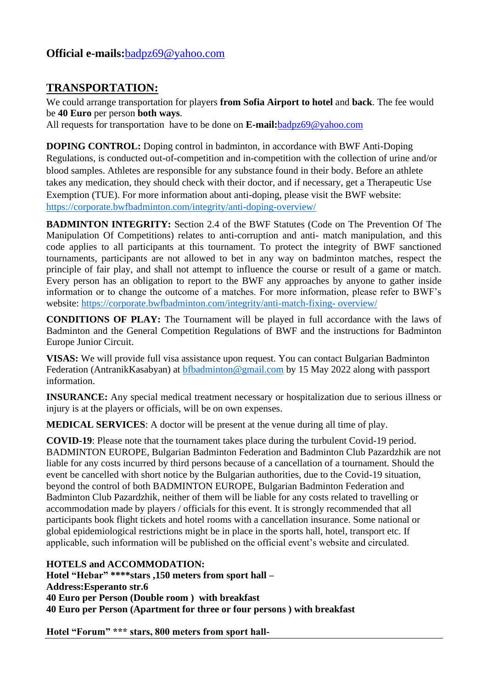# **Official e-mails:**[badpz69@yahoo.com](mailto:badpz69@yahoo.com)

### **TRANSPORTATION:**

We could arrange transportation for players **from Sofia Airport to hotel** and **back**. The fee would be **40 Euro** per person **both ways**.

All requests for transportation have to be done on **E-mail:**[badpz69@yahoo.com](mailto:badpz69@yahoo.com)

**DOPING CONTROL:** Doping control in badminton, in accordance with BWF Anti-Doping Regulations, is conducted out-of-competition and in-competition with the collection of urine and/or blood samples. Athletes are responsible for any substance found in their body. Before an athlete takes any medication, they should check with their doctor, and if necessary, get a Therapeutic Use Exemption (TUE). For more information about anti-doping, please visit the BWF website: <https://corporate.bwfbadminton.com/integrity/anti-doping-overview/>

**BADMINTON INTEGRITY:** Section 2.4 of the BWF Statutes (Code on The Prevention Of The Manipulation Of Competitions) relates to anti-corruption and anti- match manipulation, and this code applies to all participants at this tournament. To protect the integrity of BWF sanctioned tournaments, participants are not allowed to bet in any way on badminton matches, respect the principle of fair play, and shall not attempt to influence the course or result of a game or match. Every person has an obligation to report to the BWF any approaches by anyone to gather inside information or to change the outcome of a matches. For more information, please refer to BWF's website: [https://corporate.bwfbadminton.com/integrity/anti-match-fixing-](https://corporate.bwfbadminton.com/integrity/anti-match-fixing-%20overview/) overview/

**CONDITIONS OF PLAY:** The Tournament will be played in full accordance with the laws of Badminton and the General Competition Regulations of BWF and the instructions for Badminton Europe Junior Circuit.

**VISAS:** We will provide full visa assistance upon request. You can contact Bulgarian Badminton Federation (AntranikKasabyan) at [bfbadminton@gmail.com](mailto:bfbadminton@gmail.com) by 15 May 2022 along with passport information.

**INSURANCE:** Any special medical treatment necessary or hospitalization due to serious illness or injury is at the players or officials, will be on own expenses.

**MEDICAL SERVICES**: A doctor will be present at the venue during all time of play.

**COVID-19**: Please note that the tournament takes place during the turbulent Covid-19 period. BADMINTON EUROPE, Bulgarian Badminton Federation and Badminton Club Pazardzhik are not liable for any costs incurred by third persons because of a cancellation of a tournament. Should the event be cancelled with short notice by the Bulgarian authorities, due to the Covid-19 situation, beyond the control of both BADMINTON EUROPE, Bulgarian Badminton Federation and Badminton Club Pazardzhik, neither of them will be liable for any costs related to travelling or accommodation made by players / officials for this event. It is strongly recommended that all participants book flight tickets and hotel rooms with a cancellation insurance. Some national or global epidemiological restrictions might be in place in the sports hall, hotel, transport etc. If applicable, such information will be published on the official event's website and circulated.

#### **HOTELS and ACCOMMODATION:**

**Hotel "Hebar" \*\*\*\*stars ,150 meters from sport hall – Address:Esperanto str.6 40 Euro per Person (Double room ) with breakfast 40 Euro per Person (Apartment for three or four persons ) with breakfast** 

**Hotel "Forum" \*\*\* stars, 800 meters from sport hall-**